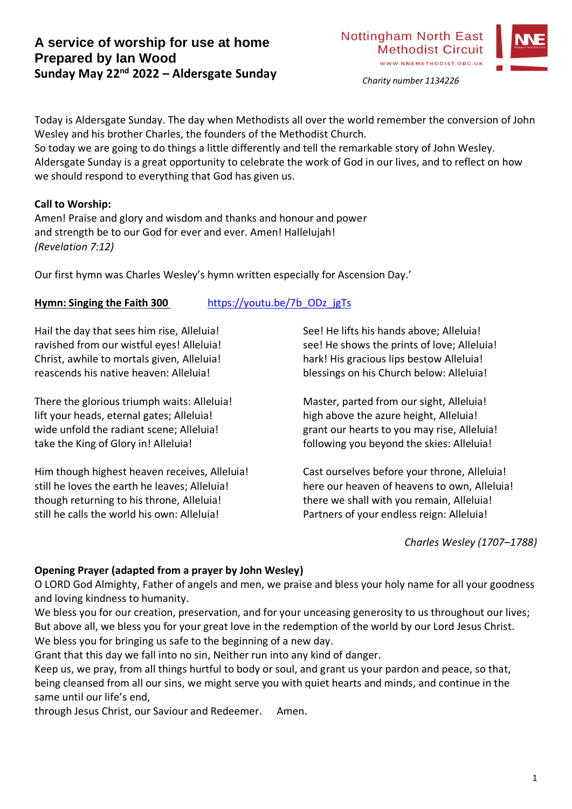

*Charity number 1134226*

Today is Aldersgate Sunday. The day when Methodists all over the world remember the conversion of John Wesley and his brother Charles, the founders of the Methodist Church.

So today we are going to do things a little differently and tell the remarkable story of John Wesley. Aldersgate Sunday is a great opportunity to celebrate the work of God in our lives, and to reflect on how we should respond to everything that God has given us.

## **Call to Worship:**

Amen! Praise and glory and wisdom and thanks and honour and power and strength be to our God for ever and ever. Amen! Hallelujah! *(Revelation 7:12)*

Our first hymn was Charles Wesley's hymn written especially for Ascension Day.'

# **Hymn: Singing the Faith 300** [https://youtu.be/7b\\_ODz\\_jgTs](https://youtu.be/7b_ODz_jgTs)

Hail the day that sees him rise, Alleluia! ravished from our wistful eyes! Alleluia! Christ, awhile to mortals given, Alleluia! reascends his native heaven: Alleluia!

There the glorious triumph waits: Alleluia! lift your heads, eternal gates; Alleluia! wide unfold the radiant scene; Alleluia! take the King of Glory in! Alleluia!

Him though highest heaven receives, Alleluia! still he loves the earth he leaves; Alleluia! though returning to his throne, Alleluia! still he calls the world his own: Alleluia!

See! He lifts his hands above; Alleluia! see! He shows the prints of love; Alleluia! hark! His gracious lips bestow Alleluia! blessings on his Church below: Alleluia!

Master, parted from our sight, Alleluia! high above the azure height, Alleluia! grant our hearts to you may rise, Alleluia! following you beyond the skies: Alleluia!

Cast ourselves before your throne, Alleluia! here our heaven of heavens to own, Alleluia! there we shall with you remain, Alleluia! Partners of your endless reign: Alleluia!

*Charles Wesley (1707–1788)*

# **Opening Prayer (adapted from a prayer by John Wesley)**

O LORD God Almighty, Father of angels and men, we praise and bless your holy name for all your goodness and loving kindness to humanity.

We bless you for our creation, preservation, and for your unceasing generosity to us throughout our lives; But above all, we bless you for your great love in the redemption of the world by our Lord Jesus Christ. We bless you for bringing us safe to the beginning of a new day.

Grant that this day we fall into no sin, Neither run into any kind of danger.

Keep us, we pray, from all things hurtful to body or soul, and grant us your pardon and peace, so that, being cleansed from all our sins, we might serve you with quiet hearts and minds, and continue in the same until our life's end,

through Jesus Christ, our Saviour and Redeemer. Amen.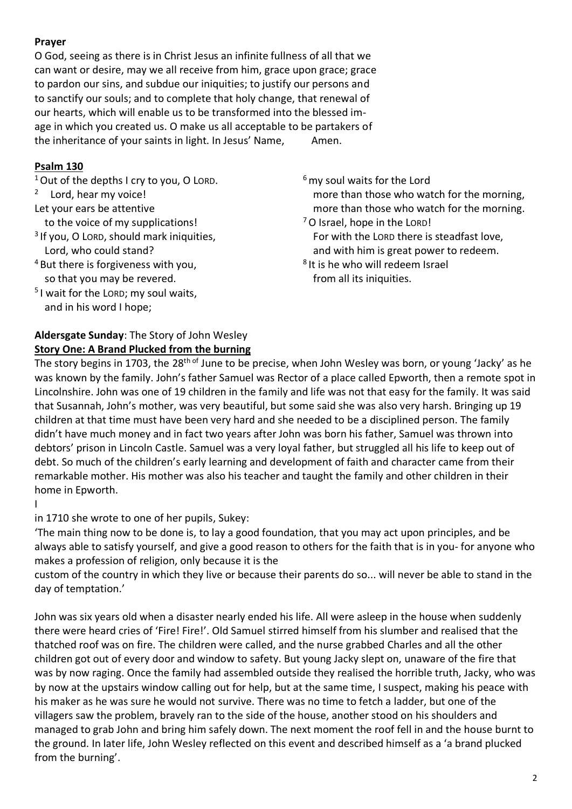## **Prayer**

O God, seeing as there is in Christ Jesus an infinite fullness of all that we can want or desire, may we all receive from him, grace upon grace; grace to pardon our sins, and subdue our iniquities; to justify our persons and to sanctify our souls; and to complete that holy change, that renewal of our hearts, which will enable us to be transformed into the blessed image in which you created us. O make us all acceptable to be partakers of the inheritance of your saints in light. In Jesus' Name, Amen.

## **Psalm 130**

<sup>1</sup> Out of the depths I cry to you, O LORD.

## <sup>2</sup> Lord, hear my voice!

Let your ears be attentive

to the voice of my supplications!

- 3 If you, O LORD, should mark iniquities, Lord, who could stand?
- <sup>4</sup> But there is forgiveness with you, so that you may be revered.
- 5 I wait for the LORD; my soul waits, and in his word I hope;

# **Aldersgate Sunday**: The Story of John Wesley **Story One: A Brand Plucked from the burning**

 $6$  my soul waits for the Lord

- more than those who watch for the morning, more than those who watch for the morning.
- <sup>7</sup>O Israel, hope in the LORD! For with the LORD there is steadfast love, and with him is great power to redeem.
- <sup>8</sup> It is he who will redeem Israel from all its iniquities.

The story begins in 1703, the 28<sup>th of</sup> June to be precise, when John Wesley was born, or young 'Jacky' as he was known by the family. John's father Samuel was Rector of a place called Epworth, then a remote spot in Lincolnshire. John was one of 19 children in the family and life was not that easy for the family. It was said that Susannah, John's mother, was very beautiful, but some said she was also very harsh. Bringing up 19 children at that time must have been very hard and she needed to be a disciplined person. The family didn't have much money and in fact two years after John was born his father, Samuel was thrown into debtors' prison in Lincoln Castle. Samuel was a very loyal father, but struggled all his life to keep out of debt. So much of the children's early learning and development of faith and character came from their remarkable mother. His mother was also his teacher and taught the family and other children in their home in Epworth.

I

in 1710 she wrote to one of her pupils, Sukey:

'The main thing now to be done is, to lay a good foundation, that you may act upon principles, and be always able to satisfy yourself, and give a good reason to others for the faith that is in you- for anyone who makes a profession of religion, only because it is the

custom of the country in which they live or because their parents do so... will never be able to stand in the day of temptation.'

John was six years old when a disaster nearly ended his life. All were asleep in the house when suddenly there were heard cries of 'Fire! Fire!'. Old Samuel stirred himself from his slumber and realised that the thatched roof was on fire. The children were called, and the nurse grabbed Charles and all the other children got out of every door and window to safety. But young Jacky slept on, unaware of the fire that was by now raging. Once the family had assembled outside they realised the horrible truth, Jacky, who was by now at the upstairs window calling out for help, but at the same time, I suspect, making his peace with his maker as he was sure he would not survive. There was no time to fetch a ladder, but one of the villagers saw the problem, bravely ran to the side of the house, another stood on his shoulders and managed to grab John and bring him safely down. The next moment the roof fell in and the house burnt to the ground. In later life, John Wesley reflected on this event and described himself as a 'a brand plucked from the burning'.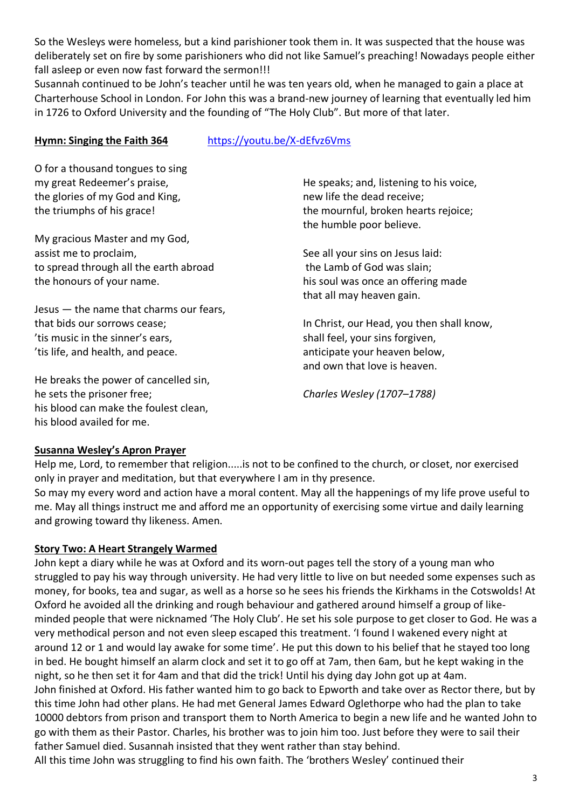So the Wesleys were homeless, but a kind parishioner took them in. It was suspected that the house was deliberately set on fire by some parishioners who did not like Samuel's preaching! Nowadays people either fall asleep or even now fast forward the sermon!!!

Susannah continued to be John's teacher until he was ten years old, when he managed to gain a place at Charterhouse School in London. For John this was a brand-new journey of learning that eventually led him in 1726 to Oxford University and the founding of "The Holy Club". But more of that later.

# **Hymn: Singing the Faith 364** <https://youtu.be/X-dEfvz6Vms>

O for a thousand tongues to sing my great Redeemer's praise, the glories of my God and King, the triumphs of his grace!

My gracious Master and my God, assist me to proclaim, to spread through all the earth abroad the honours of your name.

Jesus — the name that charms our fears, that bids our sorrows cease; 'tis music in the sinner's ears, 'tis life, and health, and peace.

He breaks the power of cancelled sin, he sets the prisoner free; his blood can make the foulest clean, his blood availed for me.

He speaks; and, listening to his voice, new life the dead receive; the mournful, broken hearts rejoice; the humble poor believe.

See all your sins on Jesus laid: the Lamb of God was slain; his soul was once an offering made that all may heaven gain.

In Christ, our Head, you then shall know, shall feel, your sins forgiven, anticipate your heaven below, and own that love is heaven.

*Charles Wesley (1707–1788)*

## **Susanna Wesley's Apron Prayer**

Help me, Lord, to remember that religion.....is not to be confined to the church, or closet, nor exercised only in prayer and meditation, but that everywhere I am in thy presence.

So may my every word and action have a moral content. May all the happenings of my life prove useful to me. May all things instruct me and afford me an opportunity of exercising some virtue and daily learning and growing toward thy likeness. Amen.

## **Story Two: A Heart Strangely Warmed**

John kept a diary while he was at Oxford and its worn-out pages tell the story of a young man who struggled to pay his way through university. He had very little to live on but needed some expenses such as money, for books, tea and sugar, as well as a horse so he sees his friends the Kirkhams in the Cotswolds! At Oxford he avoided all the drinking and rough behaviour and gathered around himself a group of likeminded people that were nicknamed 'The Holy Club'. He set his sole purpose to get closer to God. He was a very methodical person and not even sleep escaped this treatment. 'I found I wakened every night at around 12 or 1 and would lay awake for some time'. He put this down to his belief that he stayed too long in bed. He bought himself an alarm clock and set it to go off at 7am, then 6am, but he kept waking in the night, so he then set it for 4am and that did the trick! Until his dying day John got up at 4am. John finished at Oxford. His father wanted him to go back to Epworth and take over as Rector there, but by this time John had other plans. He had met General James Edward Oglethorpe who had the plan to take

10000 debtors from prison and transport them to North America to begin a new life and he wanted John to go with them as their Pastor. Charles, his brother was to join him too. Just before they were to sail their father Samuel died. Susannah insisted that they went rather than stay behind.

All this time John was struggling to find his own faith. The 'brothers Wesley' continued their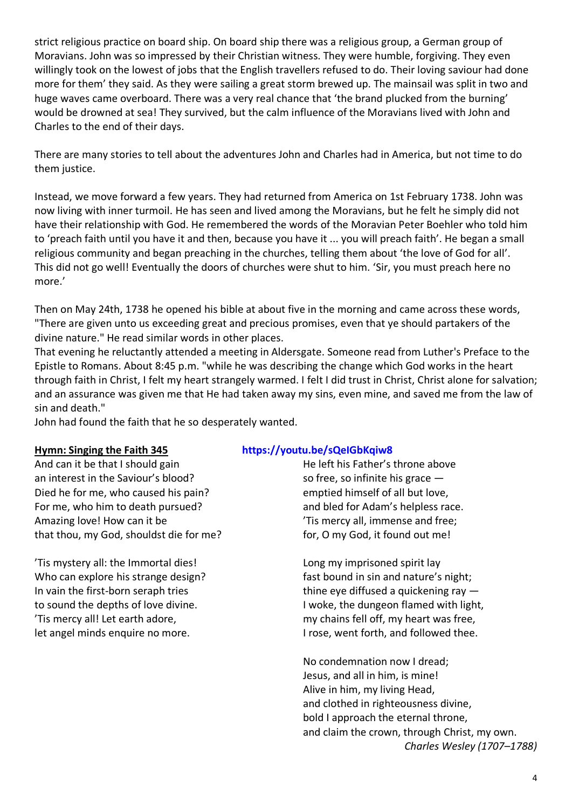strict religious practice on board ship. On board ship there was a religious group, a German group of Moravians. John was so impressed by their Christian witness. They were humble, forgiving. They even willingly took on the lowest of jobs that the English travellers refused to do. Their loving saviour had done more for them' they said. As they were sailing a great storm brewed up. The mainsail was split in two and huge waves came overboard. There was a very real chance that 'the brand plucked from the burning' would be drowned at sea! They survived, but the calm influence of the Moravians lived with John and Charles to the end of their days.

There are many stories to tell about the adventures John and Charles had in America, but not time to do them justice.

Instead, we move forward a few years. They had returned from America on 1st February 1738. John was now living with inner turmoil. He has seen and lived among the Moravians, but he felt he simply did not have their relationship with God. He remembered the words of the Moravian Peter Boehler who told him to 'preach faith until you have it and then, because you have it ... you will preach faith'. He began a small religious community and began preaching in the churches, telling them about 'the love of God for all'. This did not go well! Eventually the doors of churches were shut to him. 'Sir, you must preach here no more.'

Then on May 24th, 1738 he opened his bible at about five in the morning and came across these words, "There are given unto us exceeding great and precious promises, even that ye should partakers of the divine nature." He read similar words in other places.

That evening he reluctantly attended a meeting in Aldersgate. Someone read from Luther's Preface to the Epistle to Romans. About 8:45 p.m. "while he was describing the change which God works in the heart through faith in Christ, I felt my heart strangely warmed. I felt I did trust in Christ, Christ alone for salvation; and an assurance was given me that He had taken away my sins, even mine, and saved me from the law of sin and death."

John had found the faith that he so desperately wanted.

And can it be that I should gain an interest in the Saviour's blood? Died he for me, who caused his pain? For me, who him to death pursued? Amazing love! How can it be that thou, my God, shouldst die for me?

'Tis mystery all: the Immortal dies! Who can explore his strange design? In vain the first-born seraph tries to sound the depths of love divine. 'Tis mercy all! Let earth adore, let angel minds enquire no more.

### **Hymn: Singing the Faith 345 <https://youtu.be/sQeIGbKqiw8>**

He left his Father's throne above so free, so infinite his grace emptied himself of all but love, and bled for Adam's helpless race. 'Tis mercy all, immense and free; for, O my God, it found out me!

Long my imprisoned spirit lay fast bound in sin and nature's night; thine eye diffused a quickening ray — I woke, the dungeon flamed with light, my chains fell off, my heart was free, I rose, went forth, and followed thee.

No condemnation now I dread; Jesus, and all in him, is mine! Alive in him, my living Head, and clothed in righteousness divine, bold I approach the eternal throne, and claim the crown, through Christ, my own. *Charles Wesley (1707–1788)*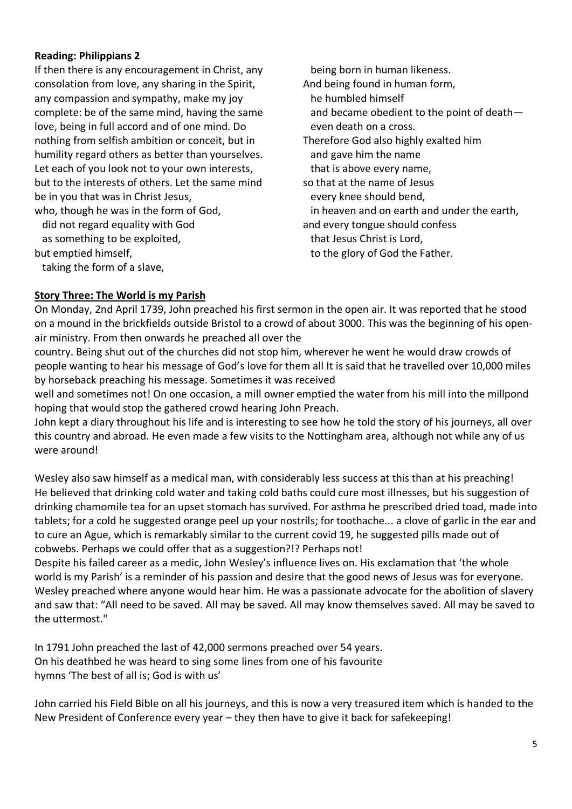## **Reading: Philippians 2**

If then there is any encouragement in Christ, any consolation from love, any sharing in the Spirit, any compassion and sympathy, make my joy complete: be of the same mind, having the same love, being in full accord and of one mind. Do nothing from selfish ambition or conceit, but in humility regard others as better than yourselves. Let each of you look not to your own interests, but to the interests of others. Let the same mind be in you that was in Christ Jesus, who, though he was in the form of God,

 did not regard equality with God as something to be exploited,

but emptied himself,

taking the form of a slave,

 being born in human likeness. And being found in human form, he humbled himself and became obedient to the point of death even death on a cross. Therefore God also highly exalted him and gave him the name that is above every name, so that at the name of Jesus every knee should bend, in heaven and on earth and under the earth, and every tongue should confess that Jesus Christ is Lord, to the glory of God the Father.

### **Story Three: The World is my Parish**

On Monday, 2nd April 1739, John preached his first sermon in the open air. It was reported that he stood on a mound in the brickfields outside Bristol to a crowd of about 3000. This was the beginning of his openair ministry. From then onwards he preached all over the

country. Being shut out of the churches did not stop him, wherever he went he would draw crowds of people wanting to hear his message of God's love for them all It is said that he travelled over 10,000 miles by horseback preaching his message. Sometimes it was received

well and sometimes not! On one occasion, a mill owner emptied the water from his mill into the millpond hoping that would stop the gathered crowd hearing John Preach.

John kept a diary throughout his life and is interesting to see how he told the story of his journeys, all over this country and abroad. He even made a few visits to the Nottingham area, although not while any of us were around!

Wesley also saw himself as a medical man, with considerably less success at this than at his preaching! He believed that drinking cold water and taking cold baths could cure most illnesses, but his suggestion of drinking chamomile tea for an upset stomach has survived. For asthma he prescribed dried toad, made into tablets; for a cold he suggested orange peel up your nostrils; for toothache... a clove of garlic in the ear and to cure an Ague, which is remarkably similar to the current covid 19, he suggested pills made out of cobwebs. Perhaps we could offer that as a suggestion?!? Perhaps not!

Despite his failed career as a medic, John Wesley's influence lives on. His exclamation that 'the whole world is my Parish' is a reminder of his passion and desire that the good news of Jesus was for everyone. Wesley preached where anyone would hear him. He was a passionate advocate for the abolition of slavery and saw that: "All need to be saved. All may be saved. All may know themselves saved. All may be saved to the uttermost."

In 1791 John preached the last of 42,000 sermons preached over 54 years. On his deathbed he was heard to sing some lines from one of his favourite hymns 'The best of all is; God is with us'

John carried his Field Bible on all his journeys, and this is now a very treasured item which is handed to the New President of Conference every year – they then have to give it back for safekeeping!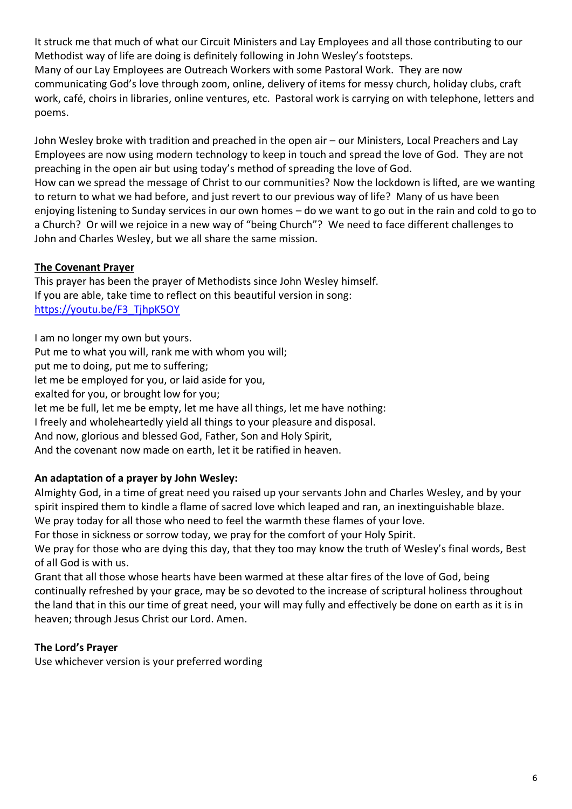It struck me that much of what our Circuit Ministers and Lay Employees and all those contributing to our Methodist way of life are doing is definitely following in John Wesley's footsteps. Many of our Lay Employees are Outreach Workers with some Pastoral Work. They are now communicating God's love through zoom, online, delivery of items for messy church, holiday clubs, craft work, café, choirs in libraries, online ventures, etc. Pastoral work is carrying on with telephone, letters and poems.

John Wesley broke with tradition and preached in the open air – our Ministers, Local Preachers and Lay Employees are now using modern technology to keep in touch and spread the love of God. They are not preaching in the open air but using today's method of spreading the love of God.

How can we spread the message of Christ to our communities? Now the lockdown is lifted, are we wanting to return to what we had before, and just revert to our previous way of life? Many of us have been enjoying listening to Sunday services in our own homes – do we want to go out in the rain and cold to go to a Church? Or will we rejoice in a new way of "being Church"? We need to face different challenges to John and Charles Wesley, but we all share the same mission.

# **The Covenant Prayer**

This prayer has been the prayer of Methodists since John Wesley himself. If you are able, take time to reflect on this beautiful version in song: [https://youtu.be/F3\\_TjhpK5OY](https://youtu.be/F3_TjhpK5OY)

I am no longer my own but yours. Put me to what you will, rank me with whom you will; put me to doing, put me to suffering; let me be employed for you, or laid aside for you, exalted for you, or brought low for you; let me be full, let me be empty, let me have all things, let me have nothing: I freely and wholeheartedly yield all things to your pleasure and disposal. And now, glorious and blessed God, Father, Son and Holy Spirit, And the covenant now made on earth, let it be ratified in heaven.

# **An adaptation of a prayer by John Wesley:**

Almighty God, in a time of great need you raised up your servants John and Charles Wesley, and by your spirit inspired them to kindle a flame of sacred love which leaped and ran, an inextinguishable blaze.

We pray today for all those who need to feel the warmth these flames of your love.

For those in sickness or sorrow today, we pray for the comfort of your Holy Spirit.

We pray for those who are dying this day, that they too may know the truth of Wesley's final words, Best of all God is with us.

Grant that all those whose hearts have been warmed at these altar fires of the love of God, being continually refreshed by your grace, may be so devoted to the increase of scriptural holiness throughout the land that in this our time of great need, your will may fully and effectively be done on earth as it is in heaven; through Jesus Christ our Lord. Amen.

# **The Lord's Prayer**

Use whichever version is your preferred wording